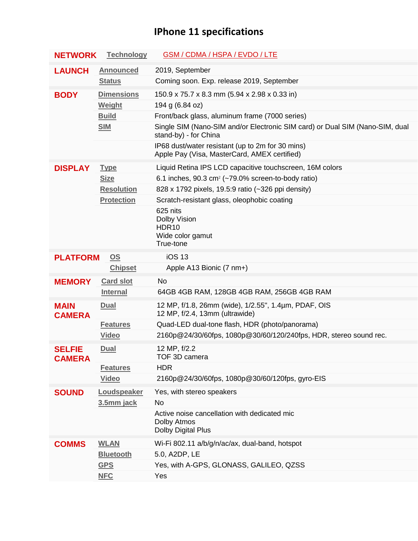## **IPhone 11 specifications**

| <b>NETWORK</b>                               | <b>Technology</b>         | <b>GSM / CDMA / HSPA / EVDO / LTE</b>                                                                 |
|----------------------------------------------|---------------------------|-------------------------------------------------------------------------------------------------------|
| <b>LAUNCH</b>                                | <b>Announced</b>          | 2019, September                                                                                       |
|                                              | <b>Status</b>             | Coming soon. Exp. release 2019, September                                                             |
| <b>BODY</b>                                  | <b>Dimensions</b>         | 150.9 x 75.7 x 8.3 mm (5.94 x 2.98 x 0.33 in)                                                         |
|                                              | Weight                    | 194 g (6.84 oz)                                                                                       |
|                                              | <b>Build</b>              | Front/back glass, aluminum frame (7000 series)                                                        |
|                                              | <b>SIM</b>                | Single SIM (Nano-SIM and/or Electronic SIM card) or Dual SIM (Nano-SIM, dual<br>stand-by) - for China |
|                                              |                           | IP68 dust/water resistant (up to 2m for 30 mins)<br>Apple Pay (Visa, MasterCard, AMEX certified)      |
| <b>DISPLAY</b>                               | <b>Type</b>               | Liquid Retina IPS LCD capacitive touchscreen, 16M colors                                              |
|                                              | <b>Size</b>               | 6.1 inches, 90.3 cm <sup>2</sup> ( $\sim$ 79.0% screen-to-body ratio)                                 |
|                                              | <b>Resolution</b>         | 828 x 1792 pixels, 19.5:9 ratio (~326 ppi density)                                                    |
|                                              | <b>Protection</b>         | Scratch-resistant glass, oleophobic coating                                                           |
|                                              |                           | 625 nits<br>Dolby Vision<br>HDR <sub>10</sub><br>Wide color gamut<br>True-tone                        |
| $\underline{\mathsf{OS}}$<br><b>PLATFORM</b> |                           | <b>iOS 13</b>                                                                                         |
|                                              | <b>Chipset</b>            | Apple A13 Bionic (7 nm+)                                                                              |
| <b>MEMORY</b>                                | <b>Card slot</b>          | <b>No</b>                                                                                             |
|                                              | <b>Internal</b>           | 64GB 4GB RAM, 128GB 4GB RAM, 256GB 4GB RAM                                                            |
| <b>MAIN</b><br><b>CAMERA</b>                 | <b>Dual</b>               | 12 MP, f/1.8, 26mm (wide), 1/2.55", 1.4µm, PDAF, OIS<br>12 MP, f/2.4, 13mm (ultrawide)                |
|                                              | <b>Features</b>           | Quad-LED dual-tone flash, HDR (photo/panorama)                                                        |
|                                              | <b>Video</b>              | 2160p@24/30/60fps, 1080p@30/60/120/240fps, HDR, stereo sound rec.                                     |
| <b>SELFIE</b><br><b>CAMERA</b>               | <b>Dual</b>               | 12 MP, f/2.2<br>TOF 3D camera                                                                         |
|                                              | <b>Features</b>           | <b>HDR</b>                                                                                            |
|                                              | <b>Video</b>              | 2160p@24/30/60fps, 1080p@30/60/120fps, gyro-EIS                                                       |
| <b>SOUND</b>                                 | Loudspeaker<br>3.5mm jack | Yes, with stereo speakers<br>No                                                                       |
|                                              |                           | Active noise cancellation with dedicated mic<br>Dolby Atmos<br>Dolby Digital Plus                     |
| <b>COMMS</b>                                 | <b>WLAN</b>               | Wi-Fi 802.11 a/b/g/n/ac/ax, dual-band, hotspot                                                        |
|                                              | <b>Bluetooth</b>          | 5.0, A2DP, LE                                                                                         |
|                                              | <b>GPS</b>                | Yes, with A-GPS, GLONASS, GALILEO, QZSS                                                               |
|                                              | <b>NFC</b>                | Yes                                                                                                   |